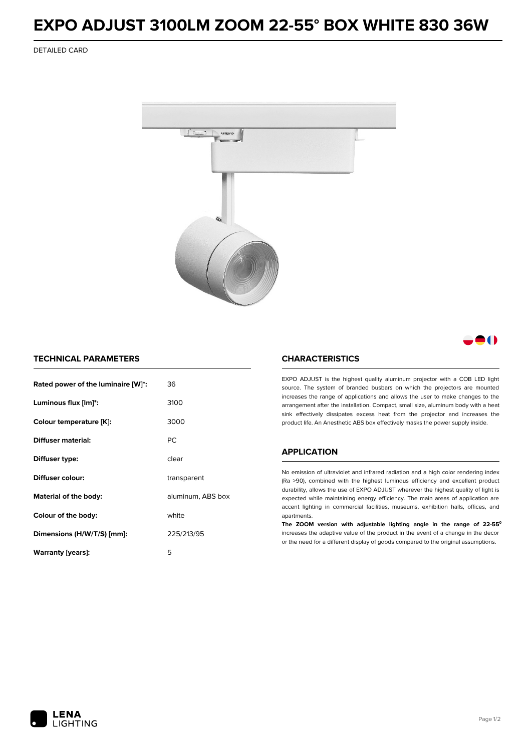## **EXPO ADJUST 3100LM ZOOM 22-55° BOX WHITE 830 36W**

DETAILED CARD



M

## **TECHNICAL PARAMETERS**

| Rated power of the luminaire [W]*: | 36                |
|------------------------------------|-------------------|
| Luminous flux [lm]*:               | 3100              |
| Colour temperature [K]:            | 3000              |
| Diffuser material:                 | <b>PC</b>         |
| Diffuser type:                     | clear             |
| Diffuser colour:                   | transparent       |
| Material of the body:              | aluminum, ABS box |
| Colour of the body:                | white             |
| Dimensions (H/W/T/S) [mm]:         | 225/213/95        |
| Warranty (years):                  | 5                 |

### **CHARACTERISTICS**

EXPO ADJUST is the highest quality aluminum projector with a COB LED light source. The system of branded busbars on which the projectors are mounted increases the range of applications and allows the user to make changes to the arrangement after the installation. Compact, small size, aluminum body with a heat sink effectively dissipates excess heat from the projector and increases the product life. An Anesthetic ABS box effectively masks the power supply inside.

#### **APPLICATION**

No emission of ultraviolet and infrared radiation and a high color rendering index (Ra >90), combined with the highest luminous efficiency and excellent product durability, allows the use of EXPO ADJUST wherever the highest quality of light is expected while maintaining energy efficiency. The main areas of application are accent lighting in commercial facilities, museums, exhibition halls, offices, and apartments.

**The ZOOM version with adjustable lighting angle in the range of 22-55⁰** increases the adaptive value of the product in the event of a change in the decor or the need for a different display of goods compared to the original assumptions.